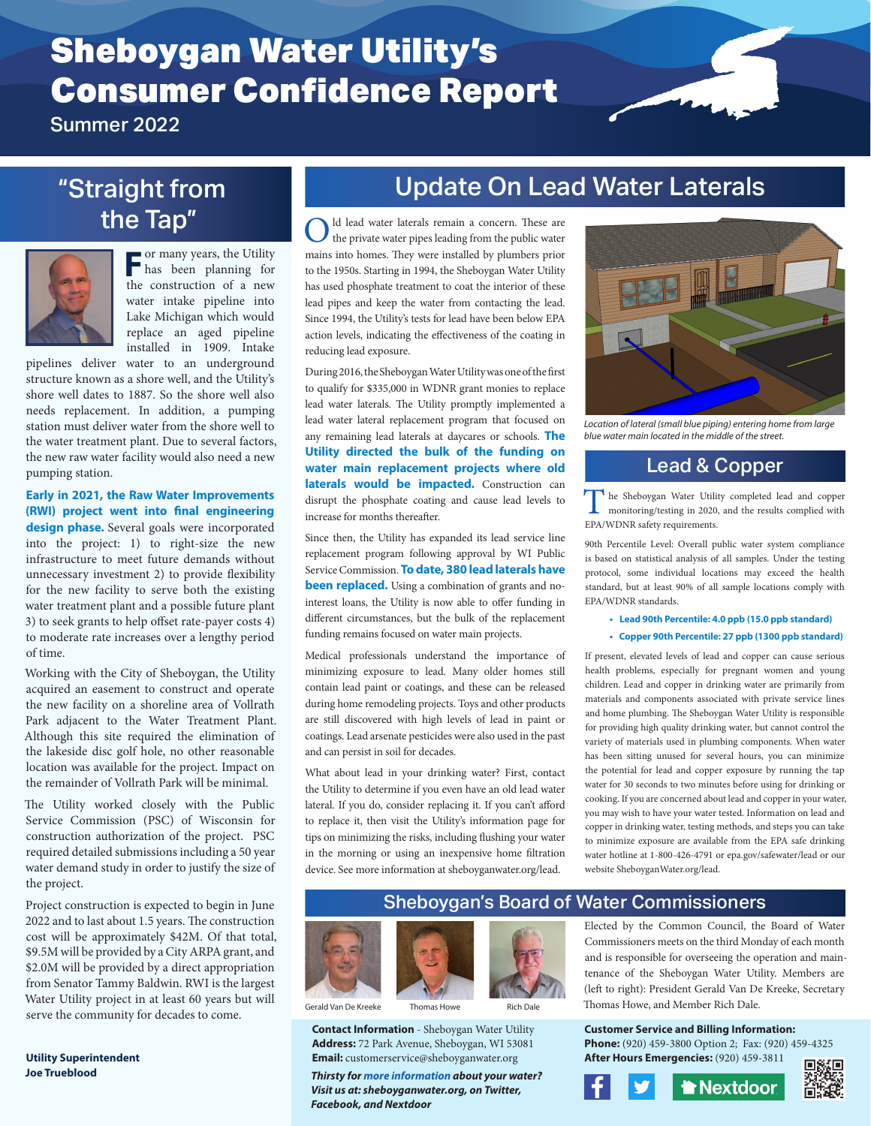# Sheboygan Water Utility's Consumer Confidence Report

Summer 2022

## "Straight from the Tap"



**For many years, the Utility**<br>has been planning for the construction of a new water intake pipeline into Lake Michigan which would replace an aged pipeline installed in 1909. Intake

pipelines deliver water to an underground structure known as a shore well, and the Utility's shore well dates to 1887. So the shore well also needs replacement. In addition, a pumping station must deliver water from the shore well to the water treatment plant. Due to several factors, the new raw water facility would also need a new pumping station.

**Early in 2021, the Raw Water Improvements (RWI) project went into final engineering design phase.** Several goals were incorporated into the project: 1) to right-size the new infrastructure to meet future demands without unnecessary investment 2) to provide flexibility for the new facility to serve both the existing water treatment plant and a possible future plant 3) to seek grants to help offset rate-payer costs 4) to moderate rate increases over a lengthy period of time.

Working with the City of Sheboygan, the Utility acquired an easement to construct and operate the new facility on a shoreline area of Vollrath Park adjacent to the Water Treatment Plant. Although this site required the elimination of the lakeside disc golf hole, no other reasonable location was available for the project. Impact on the remainder of Vollrath Park will be minimal.

The Utility worked closely with the Public Service Commission (PSC) of Wisconsin for construction authorization of the project. PSC required detailed submissions including a 50 year water demand study in order to justify the size of the project.

Project construction is expected to begin in June 2022 and to last about 1.5 years. The construction cost will be approximately \$42M. Of that total, \$9.5M will be provided by a City ARPA grant, and \$2.0M will be provided by a direct appropriation from Senator Tammy Baldwin. RWI is the largest Water Utility project in at least 60 years but will serve the community for decades to come.

**Utility Superintendent Joe Trueblood**

## Update On Lead Water Laterals

Old lead water laterals remain a concern. These are the private water pipes leading from the public water mains into homes. They were installed by plumbers prior to the 1950s. Starting in 1994, the Sheboygan Water Utility has used phosphate treatment to coat the interior of these lead pipes and keep the water from contacting the lead. Since 1994, the Utility's tests for lead have been below EPA action levels, indicating the effectiveness of the coating in reducing lead exposure.

During 2016, the Sheboygan Water Utility was one of the first to qualify for \$335,000 in WDNR grant monies to replace lead water laterals. The Utility promptly implemented a lead water lateral replacement program that focused on any remaining lead laterals at daycares or schools. **The Utility directed the bulk of the funding on water main replacement projects where old**  laterals would be impacted. Construction can disrupt the phosphate coating and cause lead levels to increase for months thereafter.

Since then, the Utility has expanded its lead service line replacement program following approval by WI Public Service Commission. **To date, 380 lead laterals have been replaced.** Using a combination of grants and nointerest loans, the Utility is now able to offer funding in different circumstances, but the bulk of the replacement funding remains focused on water main projects.

Medical professionals understand the importance of minimizing exposure to lead. Many older homes still contain lead paint or coatings, and these can be released during home remodeling projects. Toys and other products are still discovered with high levels of lead in paint or coatings. Lead arsenate pesticides were also used in the past and can persist in soil for decades.

What about lead in your drinking water? First, contact the Utility to determine if you even have an old lead water lateral. If you do, consider replacing it. If you can't afford to replace it, then visit the Utility's information page for tips on minimizing the risks, including flushing your water in the morning or using an inexpensive home filtration device. See more information at sheboyganwater.org/lead.



*Location of lateral (small blue piping) entering home from large blue water main located in the middle of the street.*

## Lead & Copper

The Sheboygan Water Utility completed lead and copper monitoring/testing in 2020, and the results complied with EPA/WDNR safety requirements.

90th Percentile Level: Overall public water system compliance is based on statistical analysis of all samples. Under the testing protocol, some individual locations may exceed the health standard, but at least 90% of all sample locations comply with EPA/WDNR standards.

**• Lead 90th Percentile: 4.0 ppb (15.0 ppb standard)**

#### **• Copper 90th Percentile: 27 ppb (1300 ppb standard)**

If present, elevated levels of lead and copper can cause serious health problems, especially for pregnant women and young children. Lead and copper in drinking water are primarily from materials and components associated with private service lines and home plumbing. The Sheboygan Water Utility is responsible for providing high quality drinking water, but cannot control the variety of materials used in plumbing components. When water has been sitting unused for several hours, you can minimize the potential for lead and copper exposure by running the tap water for 30 seconds to two minutes before using for drinking or cooking. If you are concerned about lead and copper in your water, you may wish to have your water tested. Information on lead and copper in drinking water, testing methods, and steps you can take to minimize exposure are available from the EPA safe drinking water hotline at 1-800-426-4791 or epa.gov/safewater/lead or our website SheboyganWater.org/lead.

## Sheboygan's Board of Water Commissioners

Elected by the Common Council, the Board of Water Commissioners meets on the third Monday of each month and is responsible for overseeing the operation and maintenance of the Sheboygan Water Utility. Members are (left to right): President Gerald Van De Kreeke, Secretary Thomas Howe, and Member Rich Dale.

#### **Customer Service and Billing Information:**

**Phone:** (920) 459-3800 Option 2; Fax: (920) 459-4325 **After Hours Emergencies:** (920) 459-3811 回線回

**Thextdoor** 







Serald Van De Kreeke Thomas Howe



**Contact Information** - Sheboygan Water Utility **Address:** 72 Park Avenue, Sheboygan, WI 53081 **Email:** customerservice@sheboyganwater.org

*Thirsty for more information about your water? Visit us at: sheboyganwater.org, on Twitter, Facebook, and Nextdoor*